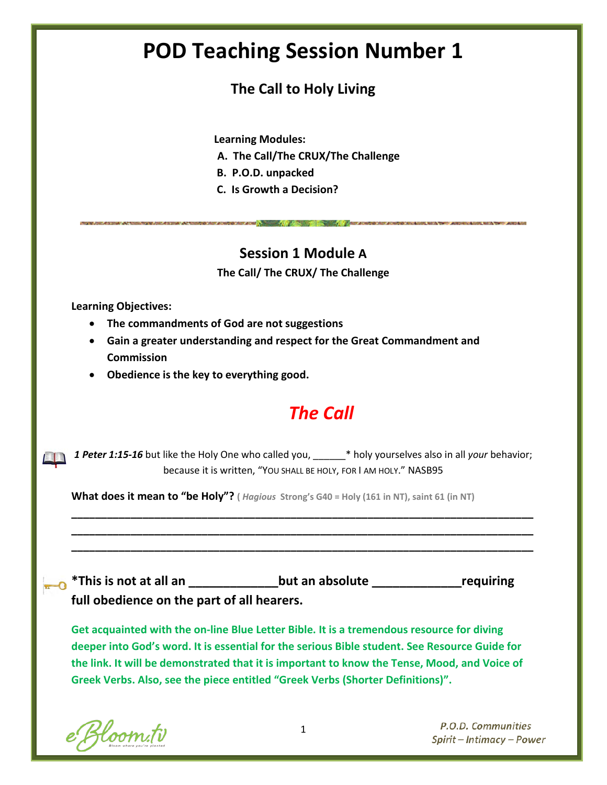# **POD Teaching Session Number 1**

### **The Call to Holy Living**

**Learning Modules:**

- **A. The Call/The CRUX/The Challenge**
- **B. P.O.D. unpacked**
- **C. Is Growth a Decision?**

### **Session 1 Module A**

**Contract of the contract of the contract of the contract of the contract of the contract of the contract of th** 

**The Call/ The CRUX/ The Challenge**

**Learning Objectives:**

- **The commandments of God are not suggestions**
- **Gain a greater understanding and respect for the Great Commandment and Commission**
- **Obedience is the key to everything good.**

## *The Call*

*1 Peter 1:15-16* but like the Holy One who called you, \_\_\_\_\_\_\* holy yourselves also in all *your* behavior; because it is written, "YOU SHALL BE HOLY, FOR I AM HOLY." NASB95

**\_\_\_\_\_\_\_\_\_\_\_\_\_\_\_\_\_\_\_\_\_\_\_\_\_\_\_\_\_\_\_\_\_\_\_\_\_\_\_\_\_\_\_\_\_\_\_\_\_\_\_\_\_\_\_\_\_\_\_\_\_\_\_\_\_\_\_\_\_\_\_\_\_\_\_\_\_\_ \_\_\_\_\_\_\_\_\_\_\_\_\_\_\_\_\_\_\_\_\_\_\_\_\_\_\_\_\_\_\_\_\_\_\_\_\_\_\_\_\_\_\_\_\_\_\_\_\_\_\_\_\_\_\_\_\_\_\_\_\_\_\_\_\_\_\_\_\_\_\_\_\_\_\_\_\_\_ \_\_\_\_\_\_\_\_\_\_\_\_\_\_\_\_\_\_\_\_\_\_\_\_\_\_\_\_\_\_\_\_\_\_\_\_\_\_\_\_\_\_\_\_\_\_\_\_\_\_\_\_\_\_\_\_\_\_\_\_\_\_\_\_\_\_\_\_\_\_\_\_\_\_\_\_\_\_**

**What does it mean to "be Holy"? (** *Hagious* **Strong's G40 = Holy (161 in NT), saint 61 (in NT)**

**\*This is not at all an \_\_\_\_\_\_\_\_\_\_\_\_\_but an absolute \_\_\_\_\_\_\_\_\_\_\_\_\_requiring full obedience on the part of all hearers.**

**Get acquainted with the on-line Blue Letter Bible. It is a tremendous resource for diving deeper into God's word. It is essential for the serious Bible student. See Resource Guide for the link. It will be demonstrated that it is important to know the Tense, Mood, and Voice of Greek Verbs. Also, see the piece entitled "Greek Verbs (Shorter Definitions)".**

e Bloom.tv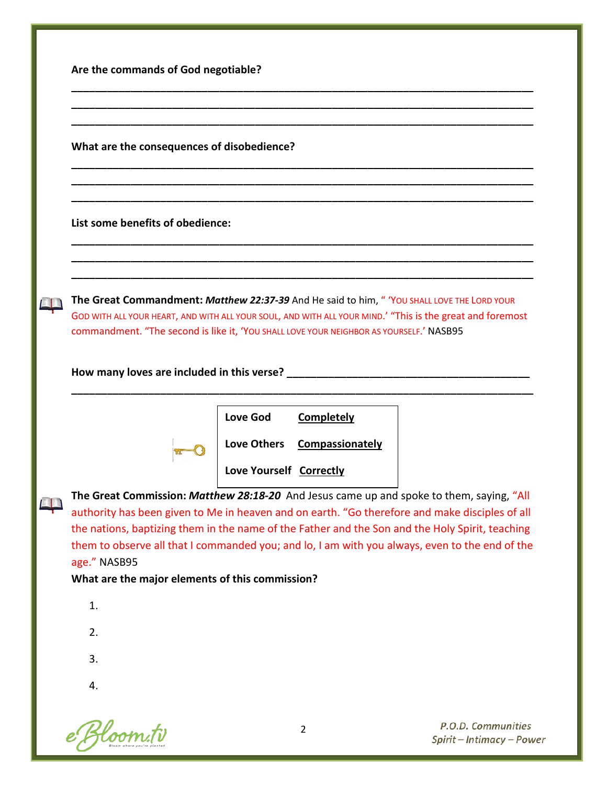|  |  |  | Are the commands of God negotiable? |
|--|--|--|-------------------------------------|
|--|--|--|-------------------------------------|

**What are the consequences of disobedience?** 

**List some benefits of obedience:** 

**The Great Commandment:** *Matthew 22:37-39* And He said to him, " 'YOU SHALL LOVE THE LORD YOUR GOD WITH ALL YOUR HEART, AND WITH ALL YOUR SOUL, AND WITH ALL YOUR MIND.' "This is the great and foremost commandment. "The second is like it, 'YOU SHALL LOVE YOUR NEIGHBOR AS YOURSELF.' NASB95

**\_\_\_\_\_\_\_\_\_\_\_\_\_\_\_\_\_\_\_\_\_\_\_\_\_\_\_\_\_\_\_\_\_\_\_\_\_\_\_\_\_\_\_\_\_\_\_\_\_\_\_\_\_\_\_\_\_\_\_\_\_\_\_\_\_\_\_\_\_\_\_\_\_\_\_\_\_\_ \_\_\_\_\_\_\_\_\_\_\_\_\_\_\_\_\_\_\_\_\_\_\_\_\_\_\_\_\_\_\_\_\_\_\_\_\_\_\_\_\_\_\_\_\_\_\_\_\_\_\_\_\_\_\_\_\_\_\_\_\_\_\_\_\_\_\_\_\_\_\_\_\_\_\_\_\_\_ \_\_\_\_\_\_\_\_\_\_\_\_\_\_\_\_\_\_\_\_\_\_\_\_\_\_\_\_\_\_\_\_\_\_\_\_\_\_\_\_\_\_\_\_\_\_\_\_\_\_\_\_\_\_\_\_\_\_\_\_\_\_\_\_\_\_\_\_\_\_\_\_\_\_\_\_\_\_**

**\_\_\_\_\_\_\_\_\_\_\_\_\_\_\_\_\_\_\_\_\_\_\_\_\_\_\_\_\_\_\_\_\_\_\_\_\_\_\_\_\_\_\_\_\_\_\_\_\_\_\_\_\_\_\_\_\_\_\_\_\_\_\_\_\_\_\_\_\_\_\_\_\_\_\_\_\_\_ \_\_\_\_\_\_\_\_\_\_\_\_\_\_\_\_\_\_\_\_\_\_\_\_\_\_\_\_\_\_\_\_\_\_\_\_\_\_\_\_\_\_\_\_\_\_\_\_\_\_\_\_\_\_\_\_\_\_\_\_\_\_\_\_\_\_\_\_\_\_\_\_\_\_\_\_\_\_ \_\_\_\_\_\_\_\_\_\_\_\_\_\_\_\_\_\_\_\_\_\_\_\_\_\_\_\_\_\_\_\_\_\_\_\_\_\_\_\_\_\_\_\_\_\_\_\_\_\_\_\_\_\_\_\_\_\_\_\_\_\_\_\_\_\_\_\_\_\_\_\_\_\_\_\_\_\_**

**\_\_\_\_\_\_\_\_\_\_\_\_\_\_\_\_\_\_\_\_\_\_\_\_\_\_\_\_\_\_\_\_\_\_\_\_\_\_\_\_\_\_\_\_\_\_\_\_\_\_\_\_\_\_\_\_\_\_\_\_\_\_\_\_\_\_\_\_\_\_\_\_\_\_\_\_\_\_ \_\_\_\_\_\_\_\_\_\_\_\_\_\_\_\_\_\_\_\_\_\_\_\_\_\_\_\_\_\_\_\_\_\_\_\_\_\_\_\_\_\_\_\_\_\_\_\_\_\_\_\_\_\_\_\_\_\_\_\_\_\_\_\_\_\_\_\_\_\_\_\_\_\_\_\_\_\_ \_\_\_\_\_\_\_\_\_\_\_\_\_\_\_\_\_\_\_\_\_\_\_\_\_\_\_\_\_\_\_\_\_\_\_\_\_\_\_\_\_\_\_\_\_\_\_\_\_\_\_\_\_\_\_\_\_\_\_\_\_\_\_\_\_\_\_\_\_\_\_\_\_\_\_\_\_\_**

**How many loves are included in this verse? \_\_\_\_\_\_\_\_\_\_\_\_\_\_\_\_\_\_\_\_\_\_\_\_\_\_\_\_\_\_\_\_\_\_\_\_\_\_\_\_\_** 



**Love God Completely**

**\_\_\_\_\_\_\_\_\_\_\_\_\_\_\_\_\_\_\_\_\_\_\_\_\_\_\_\_\_\_\_\_\_\_\_\_\_\_\_\_\_\_\_\_\_\_\_\_\_\_\_\_\_\_\_\_\_\_\_\_\_\_\_\_\_\_\_\_\_\_\_\_\_\_\_\_\_\_**

**Love Others Compassionately**

**Love Yourself Correctly**

**The Great Commission:** *Matthew 28:18-20* And Jesus came up and spoke to them, saying, "All authority has been given to Me in heaven and on earth. "Go therefore and make disciples of all the nations, baptizing them in the name of the Father and the Son and the Holy Spirit, teaching them to observe all that I commanded you; and lo, I am with you always, even to the end of the age." NASB95

**What are the major elements of this commission?**

1. 2. 3. 4.

e Bloom.tv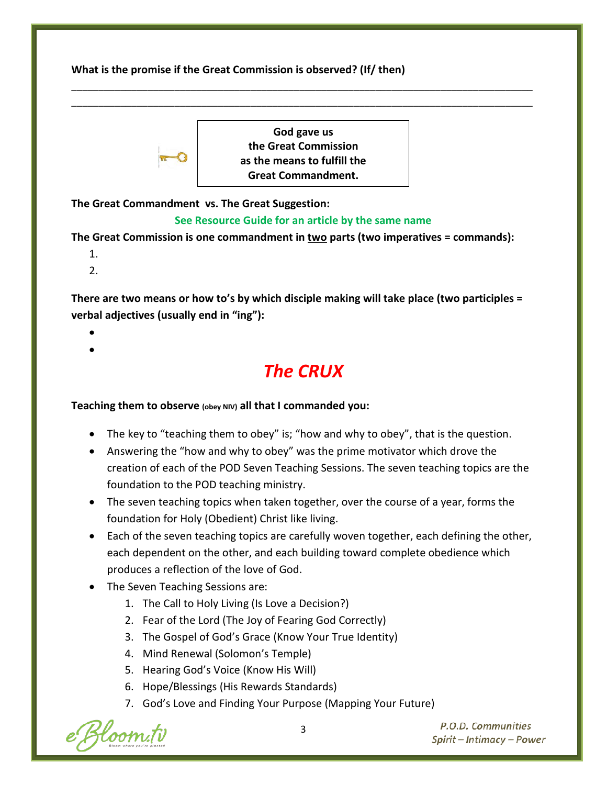**What is the promise if the Great Commission is observed? (If/ then)**



**God gave us the Great Commission as the means to fulfill the Great Commandment.**

\_\_\_\_\_\_\_\_\_\_\_\_\_\_\_\_\_\_\_\_\_\_\_\_\_\_\_\_\_\_\_\_\_\_\_\_\_\_\_\_\_\_\_\_\_\_\_\_\_\_\_\_\_\_\_\_\_\_\_\_\_\_\_\_\_\_\_\_\_\_\_\_\_\_\_\_\_\_\_\_\_\_\_\_\_ \_\_\_\_\_\_\_\_\_\_\_\_\_\_\_\_\_\_\_\_\_\_\_\_\_\_\_\_\_\_\_\_\_\_\_\_\_\_\_\_\_\_\_\_\_\_\_\_\_\_\_\_\_\_\_\_\_\_\_\_\_\_\_\_\_\_\_\_\_\_\_\_\_\_\_\_\_\_\_\_\_\_\_\_\_

**The Great Commandment vs. The Great Suggestion:** 

### **See Resource Guide for an article by the same name**

**The Great Commission is one commandment in two parts (two imperatives = commands):**

- 1.
- 2.

**There are two means or how to's by which disciple making will take place (two participles = verbal adjectives (usually end in "ing"):**

• •

### *The CRUX*

### **Teaching them to observe (obey NIV) all that I commanded you:**

- The key to "teaching them to obey" is; "how and why to obey", that is the question.
- Answering the "how and why to obey" was the prime motivator which drove the creation of each of the POD Seven Teaching Sessions. The seven teaching topics are the foundation to the POD teaching ministry.
- The seven teaching topics when taken together, over the course of a year, forms the foundation for Holy (Obedient) Christ like living.
- Each of the seven teaching topics are carefully woven together, each defining the other, each dependent on the other, and each building toward complete obedience which produces a reflection of the love of God.
- The Seven Teaching Sessions are:
	- 1. The Call to Holy Living (Is Love a Decision?)
	- 2. Fear of the Lord (The Joy of Fearing God Correctly)
	- 3. The Gospel of God's Grace (Know Your True Identity)
	- 4. Mind Renewal (Solomon's Temple)
	- 5. Hearing God's Voice (Know His Will)
	- 6. Hope/Blessings (His Rewards Standards)
	- 7. God's Love and Finding Your Purpose (Mapping Your Future)

loom.ti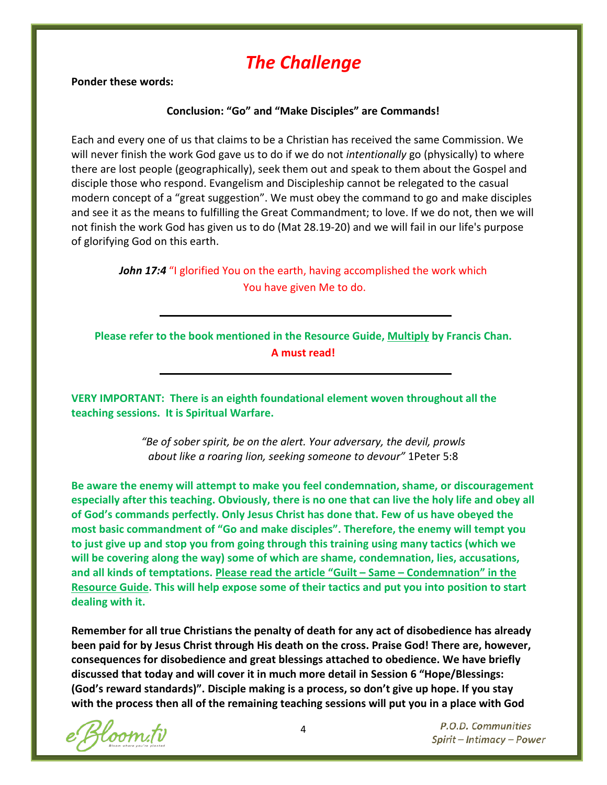## *The Challenge*

**Ponder these words:**

#### **Conclusion: "Go" and "Make Disciples" are Commands!**

Each and every one of us that claims to be a Christian has received the same Commission. We will never finish the work God gave us to do if we do not *intentionally* go (physically) to where there are lost people (geographically), seek them out and speak to them about the Gospel and disciple those who respond. Evangelism and Discipleship cannot be relegated to the casual modern concept of a "great suggestion". We must obey the command to go and make disciples and see it as the means to fulfilling the Great Commandment; to love. If we do not, then we will not finish the work God has given us to do (Mat 28.19-20) and we will fail in our life's purpose of glorifying God on this earth.

> *John 17:4 "I glorified You on the earth, having accomplished the work which* You have given Me to do.

**Please refer to the book mentioned in the Resource Guide, Multiply by Francis Chan. A must read!**

**VERY IMPORTANT: There is an eighth foundational element woven throughout all the teaching sessions. It is Spiritual Warfare.** 

> *"Be of sober spirit, be on the alert. Your adversary, the devil, prowls about like a roaring lion, seeking someone to devour"* 1Peter 5:8

**Be aware the enemy will attempt to make you feel condemnation, shame, or discouragement especially after this teaching. Obviously, there is no one that can live the holy life and obey all of God's commands perfectly. Only Jesus Christ has done that. Few of us have obeyed the most basic commandment of "Go and make disciples". Therefore, the enemy will tempt you to just give up and stop you from going through this training using many tactics (which we will be covering along the way) some of which are shame, condemnation, lies, accusations, and all kinds of temptations. Please read the article "Guilt – Same – Condemnation" in the Resource Guide. This will help expose some of their tactics and put you into position to start dealing with it.**

**Remember for all true Christians the penalty of death for any act of disobedience has already been paid for by Jesus Christ through His death on the cross. Praise God! There are, however, consequences for disobedience and great blessings attached to obedience. We have briefly discussed that today and will cover it in much more detail in Session 6 "Hope/Blessings: (God's reward standards)". Disciple making is a process, so don't give up hope. If you stay with the process then all of the remaining teaching sessions will put you in a place with God** 

loom.tv